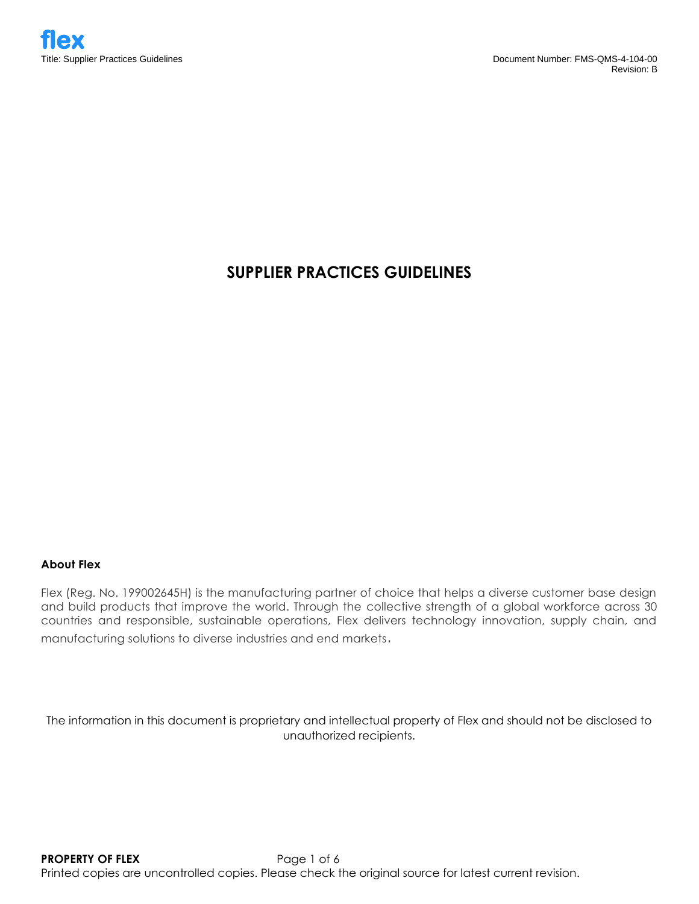# **SUPPLIER PRACTICES GUIDELINES**

#### **About Flex**

Flex (Reg. No. 199002645H) is the manufacturing partner of choice that helps a diverse customer base design and build products that improve the world. Through the collective strength of a global workforce across 30 countries and responsible, sustainable operations, Flex delivers technology innovation, supply chain, and manufacturing solutions to diverse industries and end markets

The information in this document is proprietary and intellectual property of Flex and should not be disclosed to unauthorized recipients.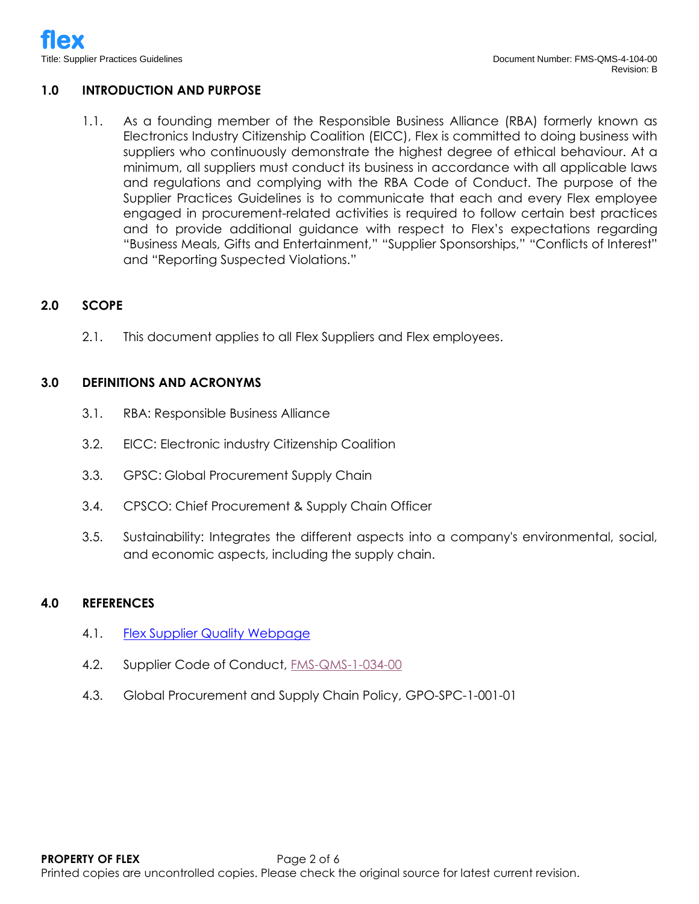## **1.0 INTRODUCTION AND PURPOSE**

1.1. As a founding member of the Responsible Business Alliance (RBA) formerly known as Electronics Industry Citizenship Coalition (EICC), Flex is committed to doing business with suppliers who continuously demonstrate the highest degree of ethical behaviour. At a minimum, all suppliers must conduct its business in accordance with all applicable laws and regulations and complying with the RBA Code of Conduct. The purpose of the Supplier Practices Guidelines is to communicate that each and every Flex employee engaged in procurement-related activities is required to follow certain best practices and to provide additional guidance with respect to Flex's expectations regarding "Business Meals, Gifts and Entertainment," "Supplier Sponsorships," "Conflicts of Interest" and "Reporting Suspected Violations."

## **2.0 SCOPE**

2.1. This document applies to all Flex Suppliers and Flex employees.

#### **3.0 DEFINITIONS AND ACRONYMS**

- 3.1. RBA: Responsible Business Alliance
- 3.2. EICC: Electronic industry Citizenship Coalition
- 3.3. GPSC: Global Procurement Supply Chain
- 3.4. CPSCO: Chief Procurement & Supply Chain Officer
- 3.5. Sustainability: Integrates the different aspects into a company's environmental, social, and economic aspects, including the supply chain.

### **4.0 REFERENCES**

- 4.1. [Flex Supplier Quality Webpage](https://flex.com/supply-chain/supplier-information/supplier-information-supplier-quality)
- 4.2. Supplier Code of Conduct, **FMS-QMS-1-034-00**
- 4.3. Global Procurement and Supply Chain Policy, GPO-SPC-1-001-01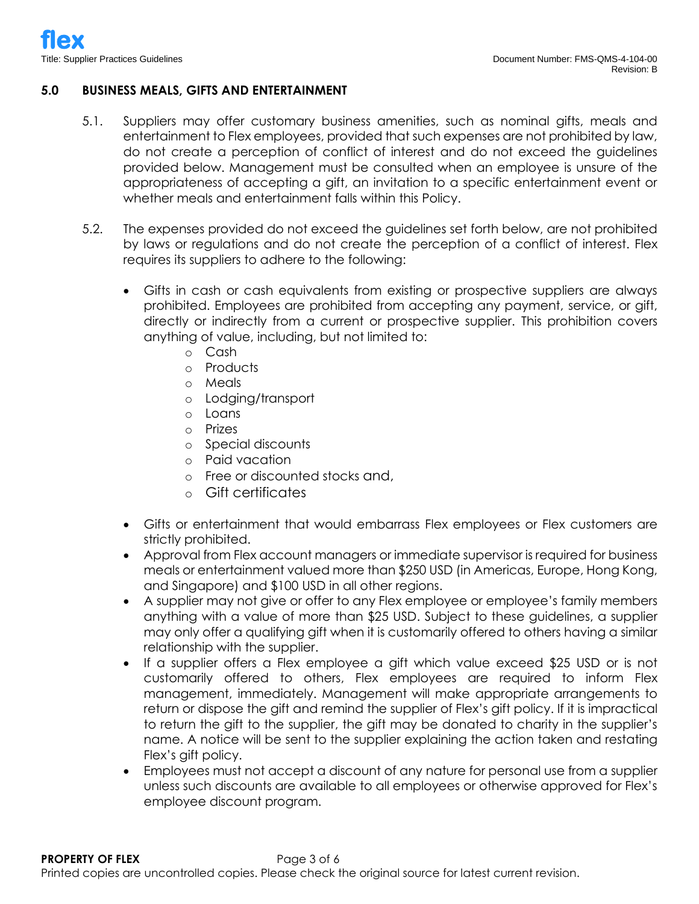## **5.0 BUSINESS MEALS, GIFTS AND ENTERTAINMENT**

- 5.1. Suppliers may offer customary business amenities, such as nominal gifts, meals and entertainment to Flex employees, provided that such expenses are not prohibited by law, do not create a perception of conflict of interest and do not exceed the guidelines provided below. Management must be consulted when an employee is unsure of the appropriateness of accepting a gift, an invitation to a specific entertainment event or whether meals and entertainment falls within this Policy.
- 5.2. The expenses provided do not exceed the guidelines set forth below, are not prohibited by laws or regulations and do not create the perception of a conflict of interest. Flex requires its suppliers to adhere to the following:
	- Gifts in cash or cash equivalents from existing or prospective suppliers are always prohibited. Employees are prohibited from accepting any payment, service, or gift, directly or indirectly from a current or prospective supplier. This prohibition covers anything of value, including, but not limited to:
		- o Cash
		- o Products
		- o Meals
		- o Lodging/transport
		- o Loans
		- o Prizes
		- o Special discounts
		- o Paid vacation
		- o Free or discounted stocks and,
		- o Gift certificates
	- Gifts or entertainment that would embarrass Flex employees or Flex customers are strictly prohibited.
	- Approval from Flex account managers or immediate supervisor is required for business meals or entertainment valued more than \$250 USD (in Americas, Europe, Hong Kong, and Singapore) and \$100 USD in all other regions.
	- A supplier may not give or offer to any Flex employee or employee's family members anything with a value of more than \$25 USD. Subject to these guidelines, a supplier may only offer a qualifying gift when it is customarily offered to others having a similar relationship with the supplier.
	- If a supplier offers a Flex employee a gift which value exceed \$25 USD or is not customarily offered to others, Flex employees are required to inform Flex management, immediately. Management will make appropriate arrangements to return or dispose the gift and remind the supplier of Flex's gift policy. If it is impractical to return the gift to the supplier, the gift may be donated to charity in the supplier's name. A notice will be sent to the supplier explaining the action taken and restating Flex's gift policy.
	- Employees must not accept a discount of any nature for personal use from a supplier unless such discounts are available to all employees or otherwise approved for Flex's employee discount program.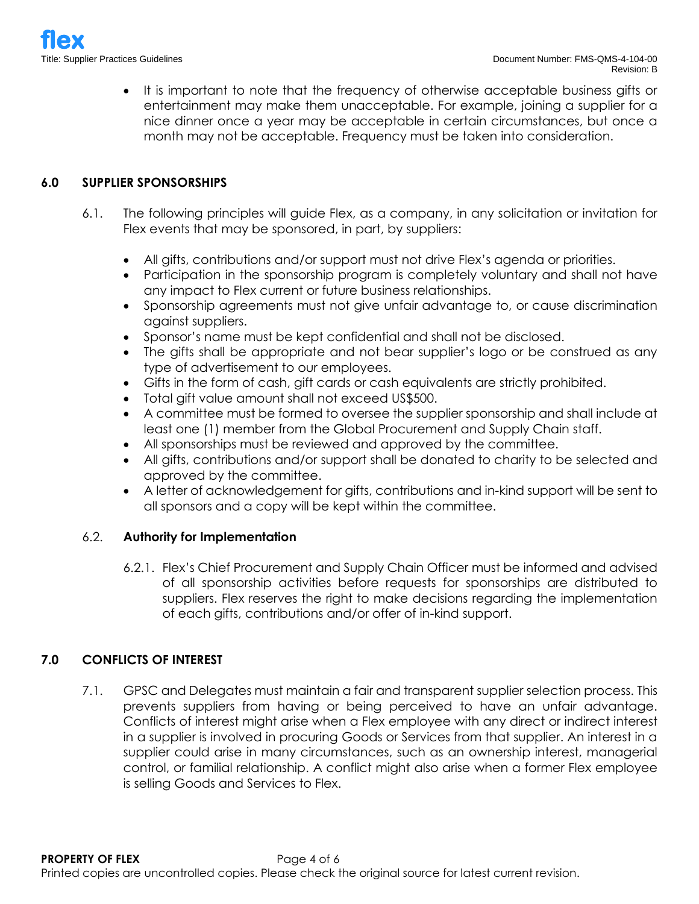• It is important to note that the frequency of otherwise acceptable business gifts or entertainment may make them unacceptable. For example, joining a supplier for a nice dinner once a year may be acceptable in certain circumstances, but once a month may not be acceptable. Frequency must be taken into consideration.

### **6.0 SUPPLIER SPONSORSHIPS**

- 6.1. The following principles will guide Flex, as a company, in any solicitation or invitation for Flex events that may be sponsored, in part, by suppliers:
	- All gifts, contributions and/or support must not drive Flex's agenda or priorities.
	- Participation in the sponsorship program is completely voluntary and shall not have any impact to Flex current or future business relationships.
	- Sponsorship agreements must not give unfair advantage to, or cause discrimination against suppliers.
	- Sponsor's name must be kept confidential and shall not be disclosed.
	- The gifts shall be appropriate and not bear supplier's logo or be construed as any type of advertisement to our employees.
	- Gifts in the form of cash, gift cards or cash equivalents are strictly prohibited.
	- Total gift value amount shall not exceed US\$500.
	- A committee must be formed to oversee the supplier sponsorship and shall include at least one (1) member from the Global Procurement and Supply Chain staff.
	- All sponsorships must be reviewed and approved by the committee.
	- All gifts, contributions and/or support shall be donated to charity to be selected and approved by the committee.
	- A letter of acknowledgement for gifts, contributions and in-kind support will be sent to all sponsors and a copy will be kept within the committee.

### 6.2. **Authority for Implementation**

6.2.1. Flex's Chief Procurement and Supply Chain Officer must be informed and advised of all sponsorship activities before requests for sponsorships are distributed to suppliers. Flex reserves the right to make decisions regarding the implementation of each gifts, contributions and/or offer of in-kind support.

## **7.0 CONFLICTS OF INTEREST**

7.1. GPSC and Delegates must maintain a fair and transparent supplier selection process. This prevents suppliers from having or being perceived to have an unfair advantage. Conflicts of interest might arise when a Flex employee with any direct or indirect interest in a supplier is involved in procuring Goods or Services from that supplier. An interest in a supplier could arise in many circumstances, such as an ownership interest, managerial control, or familial relationship. A conflict might also arise when a former Flex employee is selling Goods and Services to Flex.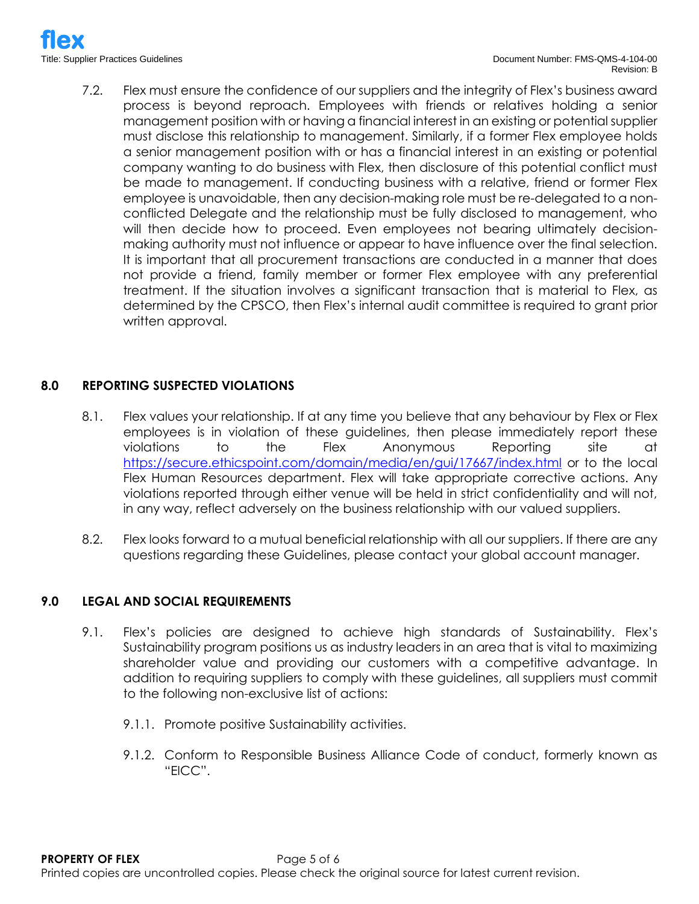7.2. Flex must ensure the confidence of our suppliers and the integrity of Flex's business award process is beyond reproach. Employees with friends or relatives holding a senior management position with or having a financial interest in an existing or potential supplier must disclose this relationship to management. Similarly, if a former Flex employee holds a senior management position with or has a financial interest in an existing or potential company wanting to do business with Flex, then disclosure of this potential conflict must be made to management. If conducting business with a relative, friend or former Flex employee is unavoidable, then any decision-making role must be re-delegated to a nonconflicted Delegate and the relationship must be fully disclosed to management, who will then decide how to proceed. Even employees not bearing ultimately decisionmaking authority must not influence or appear to have influence over the final selection. It is important that all procurement transactions are conducted in a manner that does not provide a friend, family member or former Flex employee with any preferential treatment. If the situation involves a significant transaction that is material to Flex, as determined by the CPSCO, then Flex's internal audit committee is required to grant prior written approval.

## **8.0 REPORTING SUSPECTED VIOLATIONS**

- 8.1. Flex values your relationship. If at any time you believe that any behaviour by Flex or Flex employees is in violation of these guidelines, then please immediately report these violations to the Flex Anonymous Reporting site at <https://secure.ethicspoint.com/domain/media/en/gui/17667/index.html> or to the local Flex Human Resources department. Flex will take appropriate corrective actions. Any violations reported through either venue will be held in strict confidentiality and will not, in any way, reflect adversely on the business relationship with our valued suppliers.
- 8.2. Flex looks forward to a mutual beneficial relationship with all our suppliers. If there are any questions regarding these Guidelines, please contact your global account manager.

### **9.0 LEGAL AND SOCIAL REQUIREMENTS**

- 9.1. Flex's policies are designed to achieve high standards of Sustainability. Flex's Sustainability program positions us as industry leaders in an area that is vital to maximizing shareholder value and providing our customers with a competitive advantage. In addition to requiring suppliers to comply with these guidelines, all suppliers must commit to the following non-exclusive list of actions:
	- 9.1.1. Promote positive Sustainability activities.
	- 9.1.2. Conform to Responsible Business Alliance Code of conduct, formerly known as "EICC".